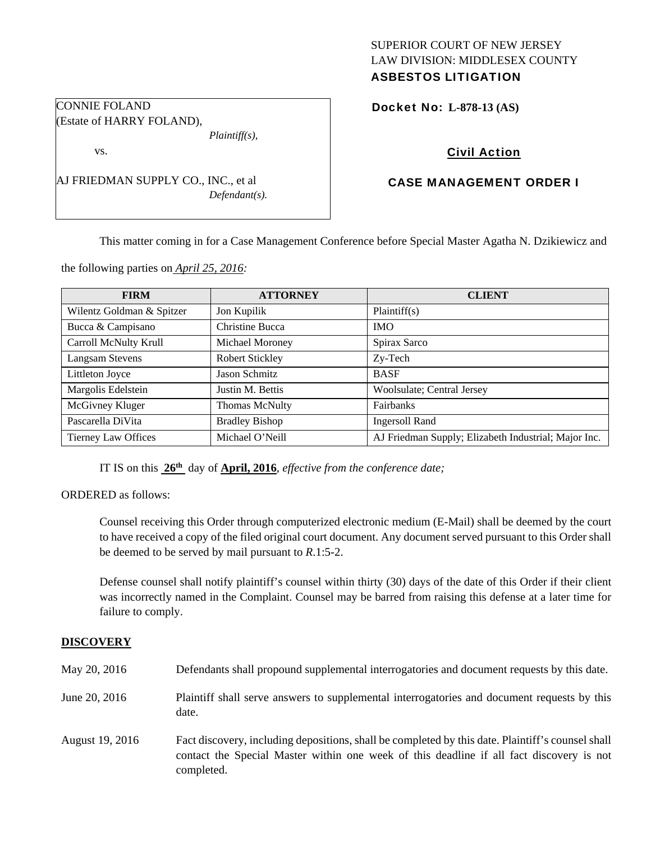## SUPERIOR COURT OF NEW JERSEY LAW DIVISION: MIDDLESEX COUNTY ASBESTOS LITIGATION

Docket No: **L-878-13 (AS)** 

# Civil Action

# CASE MANAGEMENT ORDER I

This matter coming in for a Case Management Conference before Special Master Agatha N. Dzikiewicz and

the following parties on *April 25, 2016:* 

| <b>FIRM</b>                | <b>ATTORNEY</b>        | <b>CLIENT</b>                                        |
|----------------------------|------------------------|------------------------------------------------------|
| Wilentz Goldman & Spitzer  | Jon Kupilik            | Plaintiff(s)                                         |
| Bucca & Campisano          | Christine Bucca        | <b>IMO</b>                                           |
| Carroll McNulty Krull      | Michael Moroney        | Spirax Sarco                                         |
| <b>Langsam Stevens</b>     | <b>Robert Stickley</b> | Zy-Tech                                              |
| Littleton Joyce            | Jason Schmitz          | <b>BASF</b>                                          |
| Margolis Edelstein         | Justin M. Bettis       | Woolsulate; Central Jersey                           |
| McGivney Kluger            | <b>Thomas McNulty</b>  | Fairbanks                                            |
| Pascarella DiVita          | <b>Bradley Bishop</b>  | <b>Ingersoll Rand</b>                                |
| <b>Tierney Law Offices</b> | Michael O'Neill        | AJ Friedman Supply; Elizabeth Industrial; Major Inc. |

IT IS on this **26th** day of **April, 2016**, *effective from the conference date;*

ORDERED as follows:

Counsel receiving this Order through computerized electronic medium (E-Mail) shall be deemed by the court to have received a copy of the filed original court document. Any document served pursuant to this Order shall be deemed to be served by mail pursuant to *R*.1:5-2.

Defense counsel shall notify plaintiff's counsel within thirty (30) days of the date of this Order if their client was incorrectly named in the Complaint. Counsel may be barred from raising this defense at a later time for failure to comply.

#### **DISCOVERY**

| May 20, 2016    | Defendants shall propound supplemental interrogatories and document requests by this date.                                                                                                                  |
|-----------------|-------------------------------------------------------------------------------------------------------------------------------------------------------------------------------------------------------------|
| June 20, 2016   | Plaintiff shall serve answers to supplemental interrogatories and document requests by this<br>date.                                                                                                        |
| August 19, 2016 | Fact discovery, including depositions, shall be completed by this date. Plaintiff's counsel shall<br>contact the Special Master within one week of this deadline if all fact discovery is not<br>completed. |

CONNIE FOLAND (Estate of HARRY FOLAND), *Plaintiff(s),* 

vs.

AJ FRIEDMAN SUPPLY CO., INC., et al *Defendant(s).*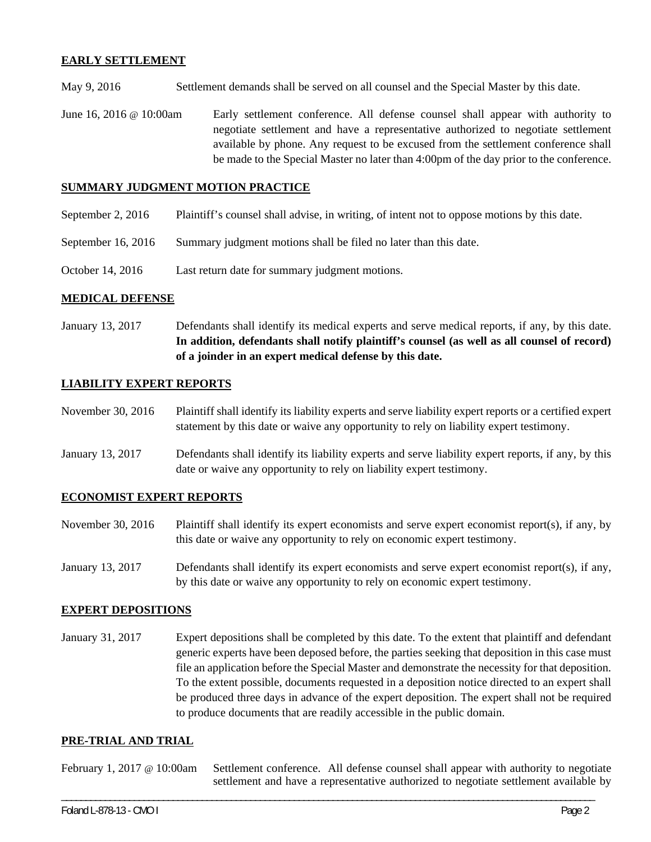### **EARLY SETTLEMENT**

May 9, 2016 Settlement demands shall be served on all counsel and the Special Master by this date.

June 16, 2016 @ 10:00am Early settlement conference. All defense counsel shall appear with authority to negotiate settlement and have a representative authorized to negotiate settlement available by phone. Any request to be excused from the settlement conference shall be made to the Special Master no later than 4:00pm of the day prior to the conference.

### **SUMMARY JUDGMENT MOTION PRACTICE**

- September 2, 2016 Plaintiff's counsel shall advise, in writing, of intent not to oppose motions by this date.
- September 16, 2016 Summary judgment motions shall be filed no later than this date.
- October 14, 2016 Last return date for summary judgment motions.

#### **MEDICAL DEFENSE**

January 13, 2017 Defendants shall identify its medical experts and serve medical reports, if any, by this date. **In addition, defendants shall notify plaintiff's counsel (as well as all counsel of record) of a joinder in an expert medical defense by this date.** 

#### **LIABILITY EXPERT REPORTS**

- November 30, 2016 Plaintiff shall identify its liability experts and serve liability expert reports or a certified expert statement by this date or waive any opportunity to rely on liability expert testimony.
- January 13, 2017 Defendants shall identify its liability experts and serve liability expert reports, if any, by this date or waive any opportunity to rely on liability expert testimony.

#### **ECONOMIST EXPERT REPORTS**

- November 30, 2016 Plaintiff shall identify its expert economists and serve expert economist report(s), if any, by this date or waive any opportunity to rely on economic expert testimony.
- January 13, 2017 Defendants shall identify its expert economists and serve expert economist report(s), if any, by this date or waive any opportunity to rely on economic expert testimony.

#### **EXPERT DEPOSITIONS**

January 31, 2017 Expert depositions shall be completed by this date. To the extent that plaintiff and defendant generic experts have been deposed before, the parties seeking that deposition in this case must file an application before the Special Master and demonstrate the necessity for that deposition. To the extent possible, documents requested in a deposition notice directed to an expert shall be produced three days in advance of the expert deposition. The expert shall not be required to produce documents that are readily accessible in the public domain.

#### **PRE-TRIAL AND TRIAL**

February 1, 2017 @ 10:00am Settlement conference. All defense counsel shall appear with authority to negotiate settlement and have a representative authorized to negotiate settlement available by

\_\_\_\_\_\_\_\_\_\_\_\_\_\_\_\_\_\_\_\_\_\_\_\_\_\_\_\_\_\_\_\_\_\_\_\_\_\_\_\_\_\_\_\_\_\_\_\_\_\_\_\_\_\_\_\_\_\_\_\_\_\_\_\_\_\_\_\_\_\_\_\_\_\_\_\_\_\_\_\_\_\_\_\_\_\_\_\_\_\_\_\_\_\_\_\_\_\_\_\_\_\_\_\_\_\_\_\_\_\_